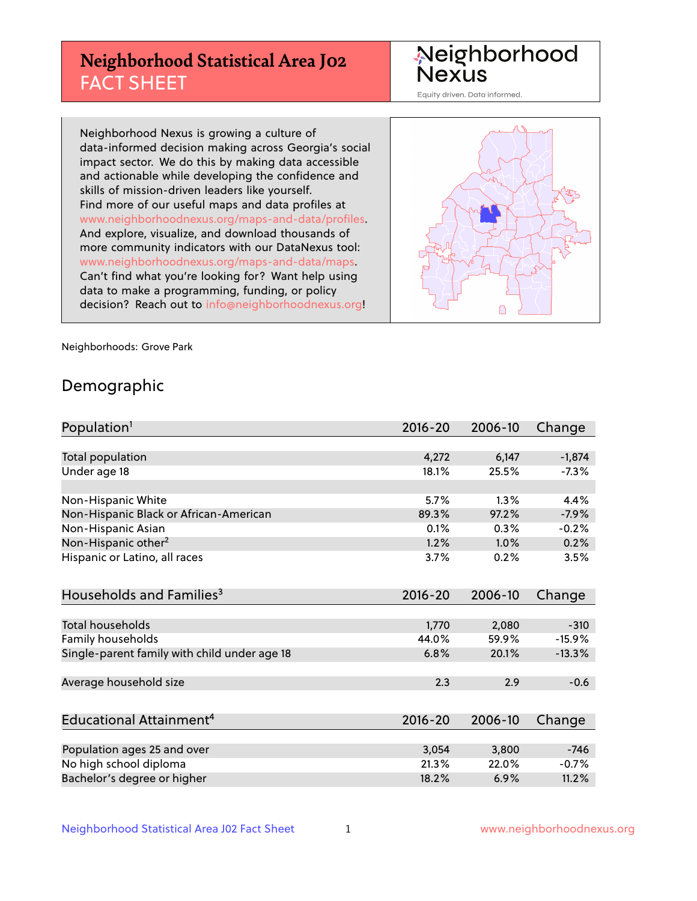## **Neighborhood Statistical Area J02** FACT SHEET

Neighborhood Nexus

Equity driven. Data informed.

Neighborhood Nexus is growing a culture of data-informed decision making across Georgia's social impact sector. We do this by making data accessible and actionable while developing the confidence and skills of mission-driven leaders like yourself. Find more of our useful maps and data profiles at www.neighborhoodnexus.org/maps-and-data/profiles. And explore, visualize, and download thousands of more community indicators with our DataNexus tool: www.neighborhoodnexus.org/maps-and-data/maps. Can't find what you're looking for? Want help using data to make a programming, funding, or policy decision? Reach out to [info@neighborhoodnexus.org!](mailto:info@neighborhoodnexus.org)



Neighborhoods: Grove Park

### Demographic

| Population <sup>1</sup>                      | $2016 - 20$ | 2006-10 | Change   |
|----------------------------------------------|-------------|---------|----------|
|                                              |             |         |          |
| Total population                             | 4,272       | 6,147   | $-1,874$ |
| Under age 18                                 | 18.1%       | 25.5%   | $-7.3%$  |
|                                              |             |         |          |
| Non-Hispanic White                           | 5.7%        | 1.3%    | 4.4%     |
| Non-Hispanic Black or African-American       | 89.3%       | 97.2%   | $-7.9%$  |
| Non-Hispanic Asian                           | 0.1%        | 0.3%    | $-0.2%$  |
| Non-Hispanic other <sup>2</sup>              | 1.2%        | 1.0%    | 0.2%     |
| Hispanic or Latino, all races                | 3.7%        | 0.2%    | 3.5%     |
| Households and Families <sup>3</sup>         | $2016 - 20$ | 2006-10 | Change   |
|                                              |             |         |          |
| <b>Total households</b>                      | 1,770       | 2,080   | $-310$   |
| Family households                            | 44.0%       | 59.9%   | $-15.9%$ |
| Single-parent family with child under age 18 | 6.8%        | 20.1%   | $-13.3%$ |
|                                              |             |         |          |
| Average household size                       | 2.3         | 2.9     | $-0.6$   |
|                                              |             |         |          |
| Educational Attainment <sup>4</sup>          | $2016 - 20$ | 2006-10 | Change   |
|                                              |             |         |          |
| Population ages 25 and over                  | 3,054       | 3,800   | $-746$   |
| No high school diploma                       | 21.3%       | 22.0%   | $-0.7%$  |
| Bachelor's degree or higher                  | 18.2%       | 6.9%    | 11.2%    |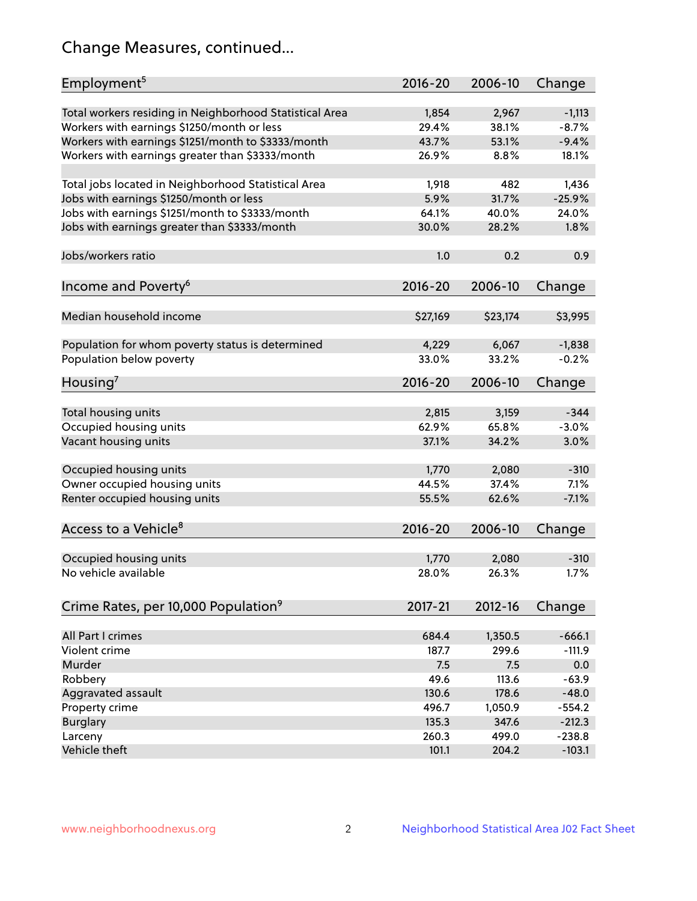## Change Measures, continued...

| Employment <sup>5</sup>                                 | $2016 - 20$    | 2006-10        | Change              |
|---------------------------------------------------------|----------------|----------------|---------------------|
|                                                         |                |                |                     |
| Total workers residing in Neighborhood Statistical Area | 1,854<br>29.4% | 2,967<br>38.1% | $-1,113$<br>$-8.7%$ |
| Workers with earnings \$1250/month or less              | 43.7%          | 53.1%          | $-9.4%$             |
| Workers with earnings \$1251/month to \$3333/month      | 26.9%          | 8.8%           | 18.1%               |
| Workers with earnings greater than \$3333/month         |                |                |                     |
| Total jobs located in Neighborhood Statistical Area     | 1,918          | 482            | 1,436               |
| Jobs with earnings \$1250/month or less                 | 5.9%           | 31.7%          | $-25.9%$            |
| Jobs with earnings \$1251/month to \$3333/month         | 64.1%          | 40.0%          | 24.0%               |
| Jobs with earnings greater than \$3333/month            | 30.0%          | 28.2%          | 1.8%                |
|                                                         |                |                |                     |
| Jobs/workers ratio                                      | 1.0            | 0.2            | 0.9                 |
|                                                         |                |                |                     |
| Income and Poverty <sup>6</sup>                         | 2016-20        | 2006-10        | Change              |
|                                                         |                |                |                     |
| Median household income                                 | \$27,169       | \$23,174       | \$3,995             |
|                                                         |                |                |                     |
| Population for whom poverty status is determined        | 4,229          | 6,067          | $-1,838$            |
| Population below poverty                                | 33.0%          | 33.2%          | $-0.2%$             |
|                                                         |                |                |                     |
| Housing <sup>7</sup>                                    | 2016-20        | 2006-10        | Change              |
|                                                         |                |                |                     |
| Total housing units                                     | 2,815          | 3,159          | $-344$              |
| Occupied housing units                                  | 62.9%          | 65.8%          | $-3.0%$             |
| Vacant housing units                                    | 37.1%          | 34.2%          | 3.0%                |
|                                                         |                |                |                     |
| Occupied housing units                                  | 1,770          | 2,080          | $-310$              |
| Owner occupied housing units                            | 44.5%          | 37.4%          | 7.1%                |
| Renter occupied housing units                           | 55.5%          | 62.6%          | $-7.1%$             |
|                                                         |                |                |                     |
| Access to a Vehicle <sup>8</sup>                        | $2016 - 20$    | 2006-10        | Change              |
|                                                         |                |                |                     |
| Occupied housing units                                  | 1,770          | 2,080          | $-310$              |
| No vehicle available                                    | 28.0%          | 26.3%          | 1.7%                |
|                                                         |                |                |                     |
| Crime Rates, per 10,000 Population <sup>9</sup>         | 2017-21        | 2012-16        | Change              |
|                                                         |                |                |                     |
| All Part I crimes                                       | 684.4          | 1,350.5        | $-666.1$            |
| Violent crime                                           | 187.7          | 299.6          | $-111.9$            |
| Murder                                                  | 7.5            | 7.5            | 0.0                 |
| Robbery                                                 | 49.6           | 113.6          | $-63.9$             |
| Aggravated assault                                      | 130.6          | 178.6          | $-48.0$             |
| Property crime                                          | 496.7          | 1,050.9        | $-554.2$            |
| <b>Burglary</b>                                         | 135.3          | 347.6          | $-212.3$            |
| Larceny                                                 | 260.3          | 499.0          | $-238.8$            |
| Vehicle theft                                           | 101.1          | 204.2          | $-103.1$            |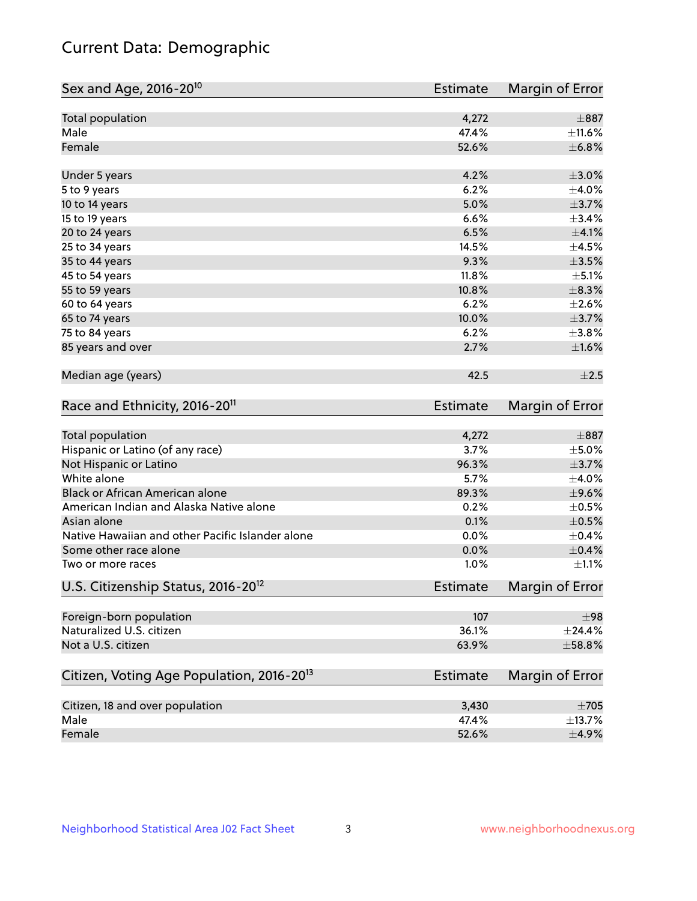## Current Data: Demographic

| Sex and Age, 2016-20 <sup>10</sup>                    | <b>Estimate</b> | Margin of Error |
|-------------------------------------------------------|-----------------|-----------------|
| Total population                                      | 4,272           | $\pm$ 887       |
| Male                                                  | 47.4%           | ±11.6%          |
| Female                                                | 52.6%           | ±6.8%           |
| Under 5 years                                         | 4.2%            | $\pm 3.0\%$     |
| 5 to 9 years                                          | 6.2%            | $\pm 4.0\%$     |
| 10 to 14 years                                        | 5.0%            | $\pm$ 3.7%      |
| 15 to 19 years                                        | 6.6%            | ±3.4%           |
| 20 to 24 years                                        | 6.5%            | $\pm$ 4.1%      |
| 25 to 34 years                                        | 14.5%           | $\pm$ 4.5%      |
| 35 to 44 years                                        | 9.3%            | $\pm 3.5\%$     |
| 45 to 54 years                                        | 11.8%           | $\pm$ 5.1%      |
| 55 to 59 years                                        | 10.8%           | $\pm$ 8.3%      |
| 60 to 64 years                                        | 6.2%            | $\pm 2.6\%$     |
| 65 to 74 years                                        | 10.0%           | $\pm$ 3.7%      |
| 75 to 84 years                                        | 6.2%            | ±3.8%           |
| 85 years and over                                     | 2.7%            | ±1.6%           |
| Median age (years)                                    | 42.5            | $\pm 2.5$       |
| Race and Ethnicity, 2016-20 <sup>11</sup>             | <b>Estimate</b> | Margin of Error |
| <b>Total population</b>                               | 4,272           | $\pm$ 887       |
| Hispanic or Latino (of any race)                      | 3.7%            | $\pm$ 5.0%      |
| Not Hispanic or Latino                                | 96.3%           | $\pm$ 3.7%      |
| White alone                                           | 5.7%            | $\pm$ 4.0%      |
| Black or African American alone                       | 89.3%           | $\pm$ 9.6%      |
| American Indian and Alaska Native alone               | 0.2%            | $\pm$ 0.5%      |
| Asian alone                                           | 0.1%            | $\pm$ 0.5%      |
| Native Hawaiian and other Pacific Islander alone      | 0.0%            | $\pm$ 0.4%      |
| Some other race alone                                 | 0.0%            | $\pm$ 0.4%      |
| Two or more races                                     | 1.0%            | $\pm 1.1\%$     |
| U.S. Citizenship Status, 2016-20 <sup>12</sup>        | Estimate        | Margin of Error |
| Foreign-born population                               | 107             | ±98             |
| Naturalized U.S. citizen                              | 36.1%           | ±24.4%          |
| Not a U.S. citizen                                    | 63.9%           | ±58.8%          |
| Citizen, Voting Age Population, 2016-20 <sup>13</sup> | <b>Estimate</b> | Margin of Error |
| Citizen, 18 and over population                       | 3,430           | $\pm 705$       |
| Male                                                  | 47.4%           | ±13.7%          |
| Female                                                | 52.6%           | $\pm$ 4.9%      |
|                                                       |                 |                 |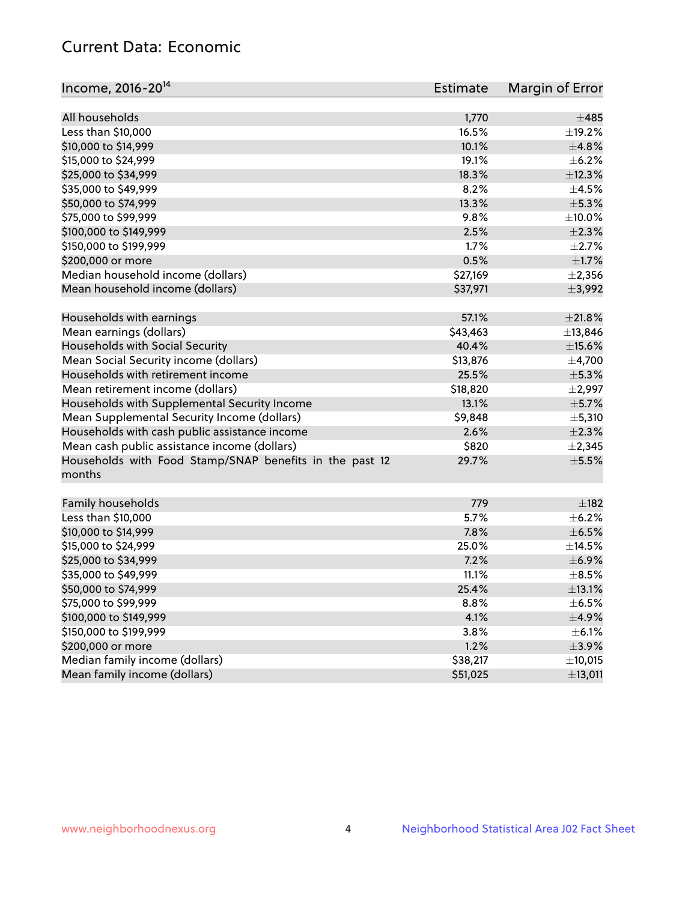## Current Data: Economic

| Income, 2016-20 <sup>14</sup>                                     | Estimate | Margin of Error |
|-------------------------------------------------------------------|----------|-----------------|
| All households                                                    | 1,770    | ±485            |
| Less than \$10,000                                                | 16.5%    | ±19.2%          |
|                                                                   | 10.1%    | ±4.8%           |
| \$10,000 to \$14,999                                              |          |                 |
| \$15,000 to \$24,999                                              | 19.1%    | $\pm$ 6.2%      |
| \$25,000 to \$34,999                                              | 18.3%    | ±12.3%          |
| \$35,000 to \$49,999                                              | 8.2%     | $\pm 4.5\%$     |
| \$50,000 to \$74,999                                              | 13.3%    | $\pm$ 5.3%      |
| \$75,000 to \$99,999                                              | 9.8%     | $\pm$ 10.0%     |
| \$100,000 to \$149,999                                            | 2.5%     | $\pm 2.3\%$     |
| \$150,000 to \$199,999                                            | 1.7%     | $\pm 2.7\%$     |
| \$200,000 or more                                                 | 0.5%     | $\pm1.7\%$      |
| Median household income (dollars)                                 | \$27,169 | $\pm 2,356$     |
| Mean household income (dollars)                                   | \$37,971 | ±3,992          |
| Households with earnings                                          | 57.1%    | $\pm 21.8\%$    |
| Mean earnings (dollars)                                           | \$43,463 | ±13,846         |
| Households with Social Security                                   | 40.4%    | $\pm$ 15.6%     |
| Mean Social Security income (dollars)                             | \$13,876 | ±4,700          |
| Households with retirement income                                 | 25.5%    | $\pm$ 5.3%      |
| Mean retirement income (dollars)                                  | \$18,820 | $\pm$ 2,997     |
| Households with Supplemental Security Income                      | 13.1%    | $\pm$ 5.7%      |
| Mean Supplemental Security Income (dollars)                       | \$9,848  | ±5,310          |
| Households with cash public assistance income                     | 2.6%     | $\pm 2.3\%$     |
| Mean cash public assistance income (dollars)                      | \$820    | $\pm 2,345$     |
| Households with Food Stamp/SNAP benefits in the past 12<br>months | 29.7%    | $\pm$ 5.5%      |
| Family households                                                 | 779      | $\pm$ 182       |
| Less than \$10,000                                                | 5.7%     | $\pm$ 6.2%      |
| \$10,000 to \$14,999                                              | 7.8%     | $\pm$ 6.5%      |
| \$15,000 to \$24,999                                              | 25.0%    | ±14.5%          |
| \$25,000 to \$34,999                                              | 7.2%     | $\pm$ 6.9%      |
| \$35,000 to \$49,999                                              | 11.1%    | $\pm$ 8.5%      |
| \$50,000 to \$74,999                                              | 25.4%    | ±13.1%          |
| \$75,000 to \$99,999                                              | 8.8%     | $\pm$ 6.5%      |
| \$100,000 to \$149,999                                            | 4.1%     | $\pm$ 4.9%      |
| \$150,000 to \$199,999                                            | 3.8%     | $\pm$ 6.1%      |
| \$200,000 or more                                                 | 1.2%     | $\pm$ 3.9%      |
| Median family income (dollars)                                    | \$38,217 | ±10,015         |
| Mean family income (dollars)                                      | \$51,025 | ±13,011         |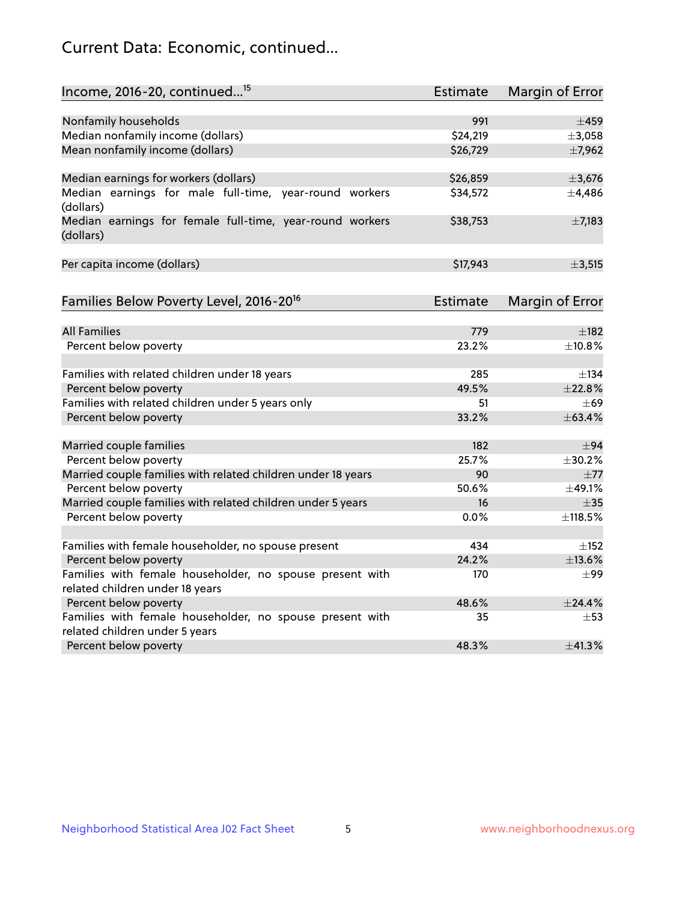## Current Data: Economic, continued...

| Income, 2016-20, continued <sup>15</sup>                                                   | <b>Estimate</b> | <b>Margin of Error</b> |
|--------------------------------------------------------------------------------------------|-----------------|------------------------|
|                                                                                            |                 |                        |
| Nonfamily households                                                                       | 991             | $\pm 459$              |
| Median nonfamily income (dollars)                                                          | \$24,219        | ±3,058                 |
| Mean nonfamily income (dollars)                                                            | \$26,729        | ±7,962                 |
| Median earnings for workers (dollars)                                                      | \$26,859        | ±3,676                 |
| Median earnings for male full-time, year-round workers<br>(dollars)                        | \$34,572        | ±4,486                 |
| Median earnings for female full-time, year-round workers<br>(dollars)                      | \$38,753        | $\pm$ 7,183            |
| Per capita income (dollars)                                                                | \$17,943        | ±3,515                 |
| Families Below Poverty Level, 2016-20 <sup>16</sup>                                        | <b>Estimate</b> | <b>Margin of Error</b> |
|                                                                                            |                 |                        |
| <b>All Families</b>                                                                        | 779             | $\pm$ 182              |
| Percent below poverty                                                                      | 23.2%           | ±10.8%                 |
| Families with related children under 18 years                                              | 285             | $\pm$ 134              |
| Percent below poverty                                                                      | 49.5%           | ±22.8%                 |
| Families with related children under 5 years only                                          | 51              | $\pm 69$               |
| Percent below poverty                                                                      | 33.2%           | ±63.4%                 |
| Married couple families                                                                    | 182             | $\pm$ 94               |
| Percent below poverty                                                                      | 25.7%           | ±30.2%                 |
| Married couple families with related children under 18 years                               | 90              | $\pm$ 77               |
| Percent below poverty                                                                      | 50.6%           | ±49.1%                 |
| Married couple families with related children under 5 years                                | 16              | $\pm$ 35               |
| Percent below poverty                                                                      | $0.0\%$         | ±118.5%                |
|                                                                                            |                 |                        |
| Families with female householder, no spouse present                                        | 434             | $\pm$ 152              |
| Percent below poverty                                                                      | 24.2%           | ±13.6%                 |
| Families with female householder, no spouse present with                                   | 170             | $\pm$ 99               |
| related children under 18 years                                                            | 48.6%           | ±24.4%                 |
| Percent below poverty                                                                      | 35              |                        |
| Families with female householder, no spouse present with<br>related children under 5 years |                 | $\pm$ 53               |
| Percent below poverty                                                                      | 48.3%           | ±41.3%                 |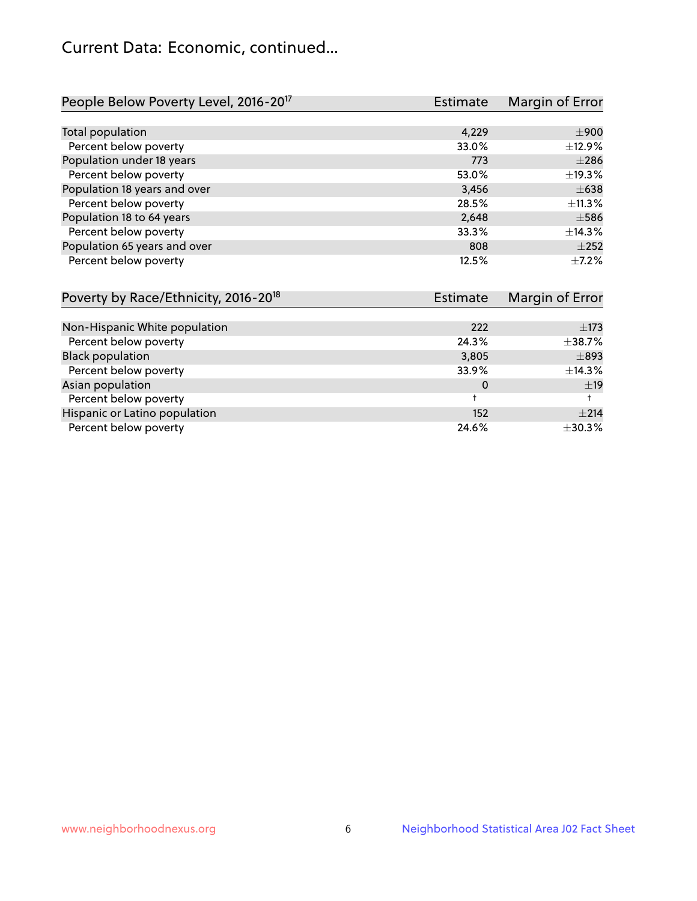## Current Data: Economic, continued...

| People Below Poverty Level, 2016-20 <sup>17</sup> | <b>Estimate</b> | Margin of Error |
|---------------------------------------------------|-----------------|-----------------|
|                                                   |                 |                 |
| Total population                                  | 4,229           | $\pm 900$       |
| Percent below poverty                             | 33.0%           | ±12.9%          |
| Population under 18 years                         | 773             | $\pm 286$       |
| Percent below poverty                             | 53.0%           | ±19.3%          |
| Population 18 years and over                      | 3,456           | $\pm 638$       |
| Percent below poverty                             | 28.5%           | ±11.3%          |
| Population 18 to 64 years                         | 2,648           | $\pm$ 586       |
| Percent below poverty                             | 33.3%           | ±14.3%          |
| Population 65 years and over                      | 808             | $\pm 252$       |
| Percent below poverty                             | 12.5%           | $+7.2%$         |

| Poverty by Race/Ethnicity, 2016-20 <sup>18</sup> | <b>Estimate</b> | Margin of Error |
|--------------------------------------------------|-----------------|-----------------|
|                                                  |                 |                 |
| Non-Hispanic White population                    | 222             | $\pm$ 173       |
| Percent below poverty                            | 24.3%           | ±38.7%          |
| <b>Black population</b>                          | 3,805           | $\pm$ 893       |
| Percent below poverty                            | 33.9%           | ±14.3%          |
| Asian population                                 | 0               | ±19             |
| Percent below poverty                            |                 |                 |
| Hispanic or Latino population                    | 152             | $\pm 214$       |
| Percent below poverty                            | 24.6%           | ±30.3%          |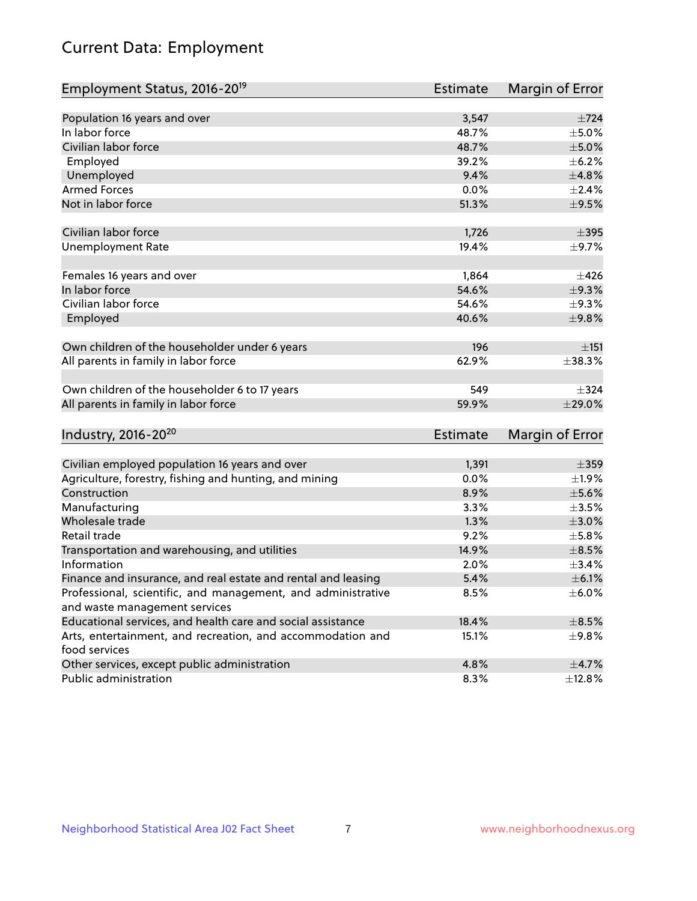# Current Data: Employment

| Employment Status, 2016-20 <sup>19</sup>                      | <b>Estimate</b> | Margin of Error |
|---------------------------------------------------------------|-----------------|-----------------|
|                                                               |                 |                 |
| Population 16 years and over                                  | 3,547           | $\pm 724$       |
| In labor force                                                | 48.7%           | $\pm$ 5.0%      |
| Civilian labor force                                          | 48.7%           | $\pm$ 5.0%      |
| Employed                                                      | 39.2%           | $\pm$ 6.2%      |
| Unemployed                                                    | 9.4%            | ±4.8%           |
| <b>Armed Forces</b>                                           | 0.0%            | $\pm 2.4\%$     |
| Not in labor force                                            | 51.3%           | $\pm$ 9.5%      |
| Civilian labor force                                          | 1,726           | $\pm$ 395       |
| <b>Unemployment Rate</b>                                      | 19.4%           | $\pm$ 9.7%      |
|                                                               |                 | $\pm 426$       |
| Females 16 years and over<br>In labor force                   | 1,864<br>54.6%  | ±9.3%           |
| Civilian labor force                                          | 54.6%           |                 |
|                                                               |                 | $\pm$ 9.3%      |
| Employed                                                      | 40.6%           | ±9.8%           |
| Own children of the householder under 6 years                 | 196             | ±151            |
| All parents in family in labor force                          | 62.9%           | ±38.3%          |
| Own children of the householder 6 to 17 years                 | 549             | $\pm$ 324       |
| All parents in family in labor force                          | 59.9%           | ±29.0%          |
|                                                               |                 |                 |
| Industry, 2016-20 <sup>20</sup>                               | Estimate        | Margin of Error |
|                                                               |                 |                 |
| Civilian employed population 16 years and over                | 1,391           | $\pm$ 359       |
| Agriculture, forestry, fishing and hunting, and mining        | 0.0%            | ±1.9%           |
| Construction                                                  | 8.9%            | $\pm$ 5.6%      |
| Manufacturing                                                 | 3.3%            | $\pm 3.5\%$     |
| Wholesale trade                                               | 1.3%            | $\pm 3.0\%$     |
| Retail trade                                                  | 9.2%            | $\pm$ 5.8%      |
| Transportation and warehousing, and utilities                 | 14.9%           | $\pm$ 8.5%      |
| Information                                                   | 2.0%            | $\pm$ 3.4%      |
| Finance and insurance, and real estate and rental and leasing | 5.4%            | $\pm$ 6.1%      |
| Professional, scientific, and management, and administrative  | 8.5%            | $\pm$ 6.0%      |
| and waste management services                                 |                 |                 |
| Educational services, and health care and social assistance   | 18.4%           | $\pm$ 8.5%      |
| Arts, entertainment, and recreation, and accommodation and    | 15.1%           | ±9.8%           |
| food services                                                 |                 |                 |
| Other services, except public administration                  | 4.8%            | $\pm$ 4.7%      |
| Public administration                                         | 8.3%            | ±12.8%          |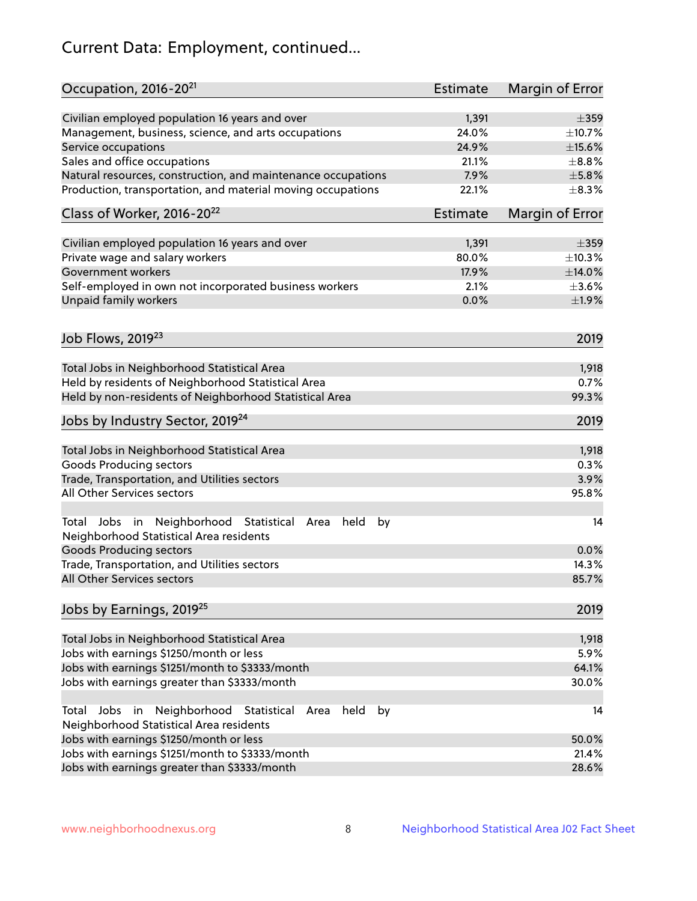# Current Data: Employment, continued...

| Occupation, 2016-20 <sup>21</sup>                                                                       | <b>Estimate</b> | Margin of Error |
|---------------------------------------------------------------------------------------------------------|-----------------|-----------------|
| Civilian employed population 16 years and over                                                          | 1,391           | $\pm$ 359       |
| Management, business, science, and arts occupations                                                     | 24.0%           | ±10.7%          |
| Service occupations                                                                                     | 24.9%           | $\pm$ 15.6%     |
| Sales and office occupations                                                                            | 21.1%           | $\pm$ 8.8%      |
| Natural resources, construction, and maintenance occupations                                            | 7.9%            | $\pm$ 5.8%      |
| Production, transportation, and material moving occupations                                             | 22.1%           | $\pm$ 8.3%      |
| Class of Worker, 2016-20 <sup>22</sup>                                                                  | Estimate        | Margin of Error |
| Civilian employed population 16 years and over                                                          | 1,391           | $\pm$ 359       |
| Private wage and salary workers                                                                         | 80.0%           | ±10.3%          |
| Government workers                                                                                      | 17.9%           | ±14.0%          |
| Self-employed in own not incorporated business workers                                                  | 2.1%            | $\pm 3.6\%$     |
| Unpaid family workers                                                                                   | 0.0%            | ±1.9%           |
|                                                                                                         |                 |                 |
| Job Flows, 2019 <sup>23</sup>                                                                           |                 | 2019            |
| Total Jobs in Neighborhood Statistical Area                                                             |                 | 1,918           |
| Held by residents of Neighborhood Statistical Area                                                      |                 | 0.7%            |
| Held by non-residents of Neighborhood Statistical Area                                                  |                 | 99.3%           |
| Jobs by Industry Sector, 2019 <sup>24</sup>                                                             |                 | 2019            |
| Total Jobs in Neighborhood Statistical Area                                                             |                 | 1,918           |
| <b>Goods Producing sectors</b>                                                                          |                 | 0.3%            |
| Trade, Transportation, and Utilities sectors                                                            |                 | 3.9%            |
| All Other Services sectors                                                                              |                 | 95.8%           |
| Total Jobs in Neighborhood Statistical<br>held<br>by<br>Area<br>Neighborhood Statistical Area residents |                 | 14              |
| <b>Goods Producing sectors</b>                                                                          |                 | 0.0%            |
| Trade, Transportation, and Utilities sectors                                                            |                 | 14.3%           |
| All Other Services sectors                                                                              |                 | 85.7%           |
| Jobs by Earnings, 2019 <sup>25</sup>                                                                    |                 | 2019            |
| Total Jobs in Neighborhood Statistical Area                                                             |                 | 1,918           |
| Jobs with earnings \$1250/month or less                                                                 |                 | 5.9%            |
| Jobs with earnings \$1251/month to \$3333/month                                                         |                 | 64.1%           |
| Jobs with earnings greater than \$3333/month                                                            |                 | 30.0%           |
| Neighborhood Statistical<br>Jobs<br>in<br>held<br>by<br>Total<br>Area                                   |                 | 14              |
| Neighborhood Statistical Area residents                                                                 |                 |                 |
| Jobs with earnings \$1250/month or less                                                                 |                 | 50.0%           |
| Jobs with earnings \$1251/month to \$3333/month                                                         |                 | 21.4%           |
| Jobs with earnings greater than \$3333/month                                                            |                 | 28.6%           |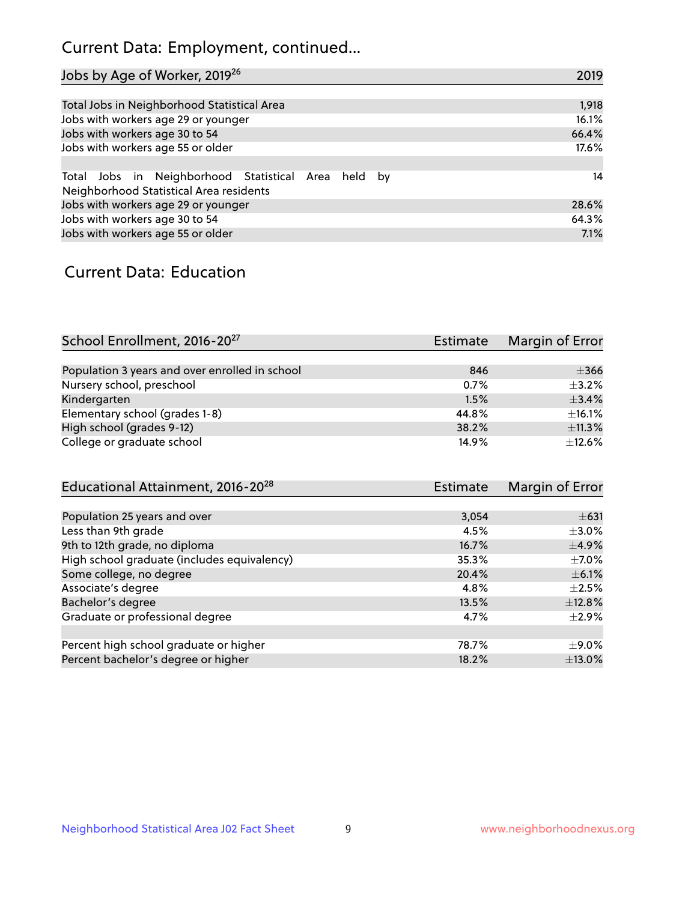## Current Data: Employment, continued...

| Jobs by Age of Worker, 2019 <sup>26</sup>                                                      | 2019  |
|------------------------------------------------------------------------------------------------|-------|
|                                                                                                |       |
| Total Jobs in Neighborhood Statistical Area                                                    | 1,918 |
| Jobs with workers age 29 or younger                                                            | 16.1% |
| Jobs with workers age 30 to 54                                                                 | 66.4% |
| Jobs with workers age 55 or older                                                              | 17.6% |
|                                                                                                |       |
| Total Jobs in Neighborhood Statistical Area held by<br>Neighborhood Statistical Area residents | 14    |
| Jobs with workers age 29 or younger                                                            | 28.6% |
| Jobs with workers age 30 to 54                                                                 | 64.3% |
| Jobs with workers age 55 or older                                                              | 7.1%  |

### Current Data: Education

| School Enrollment, 2016-20 <sup>27</sup>       | <b>Estimate</b> | Margin of Error |
|------------------------------------------------|-----------------|-----------------|
|                                                |                 |                 |
| Population 3 years and over enrolled in school | 846             | $\pm 366$       |
| Nursery school, preschool                      | 0.7%            | $\pm$ 3.2%      |
| Kindergarten                                   | 1.5%            | $\pm$ 3.4%      |
| Elementary school (grades 1-8)                 | 44.8%           | ±16.1%          |
| High school (grades 9-12)                      | 38.2%           | ±11.3%          |
| College or graduate school                     | 14.9%           | $\pm$ 12.6%     |

| Educational Attainment, 2016-20 <sup>28</sup> | <b>Estimate</b> | Margin of Error |
|-----------------------------------------------|-----------------|-----------------|
|                                               |                 |                 |
| Population 25 years and over                  | 3,054           | $\pm 631$       |
| Less than 9th grade                           | 4.5%            | $\pm$ 3.0%      |
| 9th to 12th grade, no diploma                 | 16.7%           | $\pm$ 4.9%      |
| High school graduate (includes equivalency)   | 35.3%           | $\pm$ 7.0%      |
| Some college, no degree                       | 20.4%           | $\pm$ 6.1%      |
| Associate's degree                            | 4.8%            | $\pm 2.5\%$     |
| Bachelor's degree                             | 13.5%           | ±12.8%          |
| Graduate or professional degree               | 4.7%            | $\pm 2.9\%$     |
|                                               |                 |                 |
| Percent high school graduate or higher        | 78.7%           | $\pm$ 9.0%      |
| Percent bachelor's degree or higher           | 18.2%           | ±13.0%          |
|                                               |                 |                 |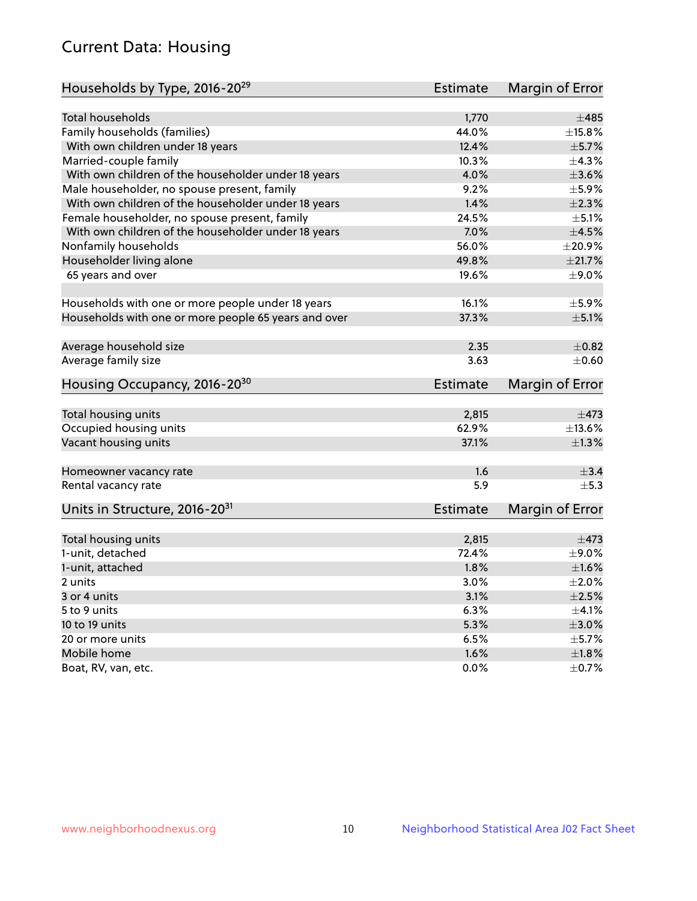## Current Data: Housing

| Households by Type, 2016-20 <sup>29</sup>            | <b>Estimate</b> | Margin of Error |
|------------------------------------------------------|-----------------|-----------------|
|                                                      |                 |                 |
| <b>Total households</b>                              | 1,770           | $\pm 485$       |
| Family households (families)                         | 44.0%           | $\pm$ 15.8%     |
| With own children under 18 years                     | 12.4%           | ±5.7%           |
| Married-couple family                                | 10.3%           | ±4.3%           |
| With own children of the householder under 18 years  | 4.0%            | $\pm 3.6\%$     |
| Male householder, no spouse present, family          | 9.2%            | $\pm$ 5.9%      |
| With own children of the householder under 18 years  | 1.4%            | $\pm 2.3\%$     |
| Female householder, no spouse present, family        | 24.5%           | $\pm$ 5.1%      |
| With own children of the householder under 18 years  | 7.0%            | $\pm 4.5\%$     |
| Nonfamily households                                 | 56.0%           | $\pm 20.9\%$    |
| Householder living alone                             | 49.8%           | ±21.7%          |
| 65 years and over                                    | 19.6%           | $\pm$ 9.0%      |
|                                                      |                 |                 |
| Households with one or more people under 18 years    | 16.1%           | $\pm$ 5.9%      |
| Households with one or more people 65 years and over | 37.3%           | $\pm$ 5.1%      |
|                                                      |                 |                 |
| Average household size                               | 2.35            | $\pm$ 0.82      |
| Average family size                                  | 3.63            | $\pm$ 0.60      |
| Housing Occupancy, 2016-20 <sup>30</sup>             | <b>Estimate</b> | Margin of Error |
|                                                      |                 |                 |
| Total housing units                                  | 2,815           | $\pm$ 473       |
| Occupied housing units                               | 62.9%           | ±13.6%          |
| Vacant housing units                                 | 37.1%           | $\pm 1.3\%$     |
| Homeowner vacancy rate                               | 1.6             | $\pm$ 3.4       |
| Rental vacancy rate                                  | 5.9             | $\pm$ 5.3       |
| Units in Structure, 2016-20 <sup>31</sup>            | <b>Estimate</b> | Margin of Error |
|                                                      |                 |                 |
| Total housing units                                  | 2,815           | $\pm$ 473       |
| 1-unit, detached                                     | 72.4%           | $\pm$ 9.0%      |
| 1-unit, attached                                     | 1.8%            | $\pm1.6\%$      |
| 2 units                                              | 3.0%            | $\pm 2.0\%$     |
| 3 or 4 units                                         | 3.1%            | $\pm 2.5\%$     |
| 5 to 9 units                                         | 6.3%            | $\pm 4.1\%$     |
| 10 to 19 units                                       | 5.3%            | $\pm 3.0\%$     |
| 20 or more units                                     | 6.5%            | $\pm$ 5.7%      |
| Mobile home                                          | 1.6%            | ±1.8%           |
| Boat, RV, van, etc.                                  | 0.0%            | $\pm$ 0.7%      |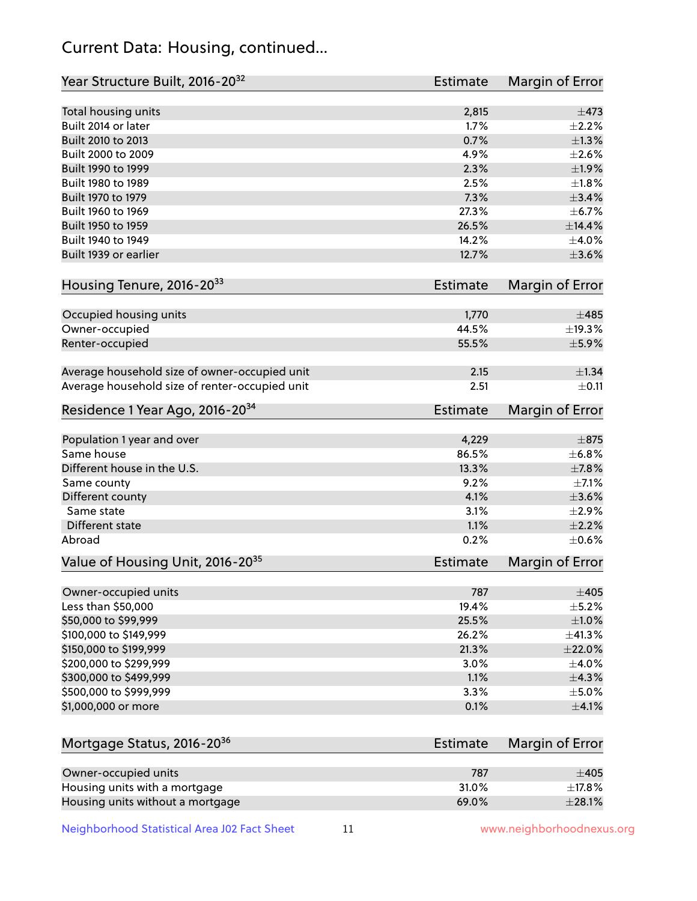## Current Data: Housing, continued...

| Year Structure Built, 2016-20 <sup>32</sup>    | Estimate        | <b>Margin of Error</b> |
|------------------------------------------------|-----------------|------------------------|
| Total housing units                            | 2,815           | $\pm$ 473              |
| Built 2014 or later                            | 1.7%            | $\pm 2.2\%$            |
| Built 2010 to 2013                             | 0.7%            | ±1.3%                  |
| Built 2000 to 2009                             | 4.9%            | $\pm 2.6\%$            |
| Built 1990 to 1999                             | 2.3%            | ±1.9%                  |
| Built 1980 to 1989                             | 2.5%            | $\pm 1.8\%$            |
| Built 1970 to 1979                             | 7.3%            | $\pm$ 3.4%             |
| Built 1960 to 1969                             | 27.3%           | $\pm$ 6.7%             |
| Built 1950 to 1959                             | 26.5%           | ±14.4%                 |
| Built 1940 to 1949                             | 14.2%           | $\pm$ 4.0%             |
| Built 1939 or earlier                          | 12.7%           | $\pm 3.6\%$            |
| Housing Tenure, 2016-2033                      | Estimate        | Margin of Error        |
| Occupied housing units                         | 1,770           | $\pm 485$              |
| Owner-occupied                                 | 44.5%           | ±19.3%                 |
| Renter-occupied                                | 55.5%           | $\pm$ 5.9%             |
| Average household size of owner-occupied unit  | 2.15            | $\pm$ 1.34             |
| Average household size of renter-occupied unit | 2.51            | $\pm$ 0.11             |
| Residence 1 Year Ago, 2016-20 <sup>34</sup>    | <b>Estimate</b> | <b>Margin of Error</b> |
| Population 1 year and over                     | 4,229           | $\pm$ 875              |
| Same house                                     | 86.5%           | ±6.8%                  |
| Different house in the U.S.                    | 13.3%           | ±7.8%                  |
| Same county                                    | 9.2%            | $\pm$ 7.1%             |
| Different county                               | 4.1%            | $\pm 3.6\%$            |
| Same state                                     | 3.1%            | $\pm 2.9\%$            |
| Different state                                | 1.1%            | $\pm 2.2\%$            |
| Abroad                                         | 0.2%            | $\pm$ 0.6%             |
| Value of Housing Unit, 2016-20 <sup>35</sup>   | <b>Estimate</b> | Margin of Error        |
| Owner-occupied units                           | 787             | $\pm 405$              |
| Less than \$50,000                             | 19.4%           | $\pm$ 5.2%             |
| \$50,000 to \$99,999                           | 25.5%           | $\pm 1.0\%$            |
| \$100,000 to \$149,999                         | 26.2%           | ±41.3%                 |
| \$150,000 to \$199,999                         | 21.3%           | ±22.0%                 |
| \$200,000 to \$299,999                         | 3.0%            | $\pm$ 4.0%             |
| \$300,000 to \$499,999                         | 1.1%            | ±4.3%                  |
| \$500,000 to \$999,999                         | 3.3%            | $\pm$ 5.0%             |
| \$1,000,000 or more                            | 0.1%            | $\pm$ 4.1%             |
| Mortgage Status, 2016-20 <sup>36</sup>         | Estimate        | Margin of Error        |
| Owner-occupied units                           | 787             | $\pm 405$              |
| Housing units with a mortgage                  | 31.0%           | ±17.8%                 |

Housing units without a mortgage  $\pm 28.1\%$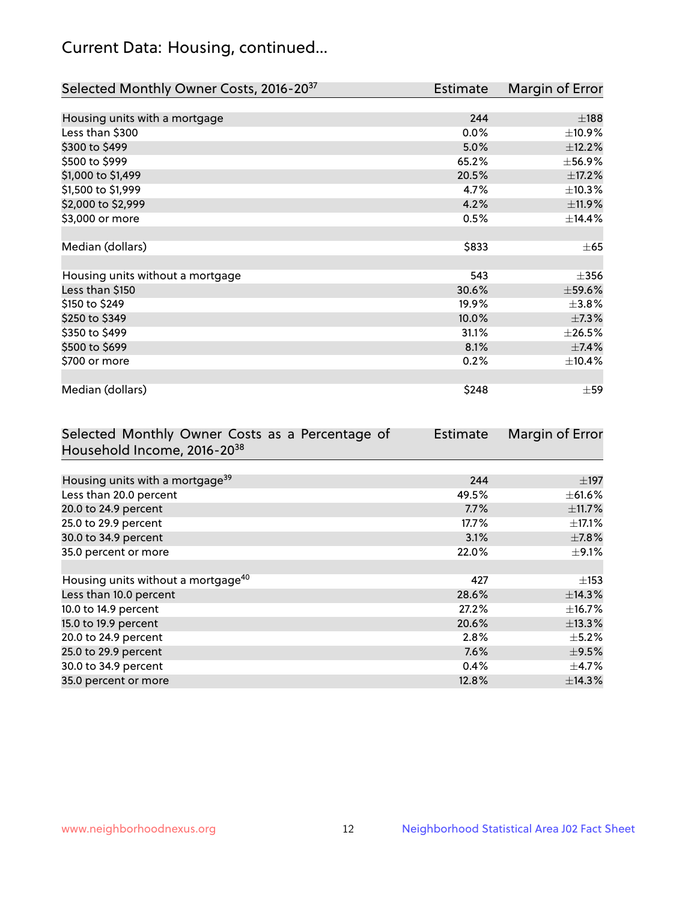## Current Data: Housing, continued...

| Selected Monthly Owner Costs, 2016-20 <sup>37</sup> | <b>Estimate</b> | Margin of Error |
|-----------------------------------------------------|-----------------|-----------------|
|                                                     |                 |                 |
| Housing units with a mortgage                       | 244             | $\pm$ 188       |
| Less than \$300                                     | 0.0%            | ±10.9%          |
| \$300 to \$499                                      | 5.0%            | ±12.2%          |
| \$500 to \$999                                      | 65.2%           | ±56.9%          |
| \$1,000 to \$1,499                                  | 20.5%           | $\pm$ 17.2%     |
| \$1,500 to \$1,999                                  | 4.7%            | ±10.3%          |
| \$2,000 to \$2,999                                  | 4.2%            | ±11.9%          |
| \$3,000 or more                                     | 0.5%            | ±14.4%          |
|                                                     |                 |                 |
| Median (dollars)                                    | \$833           | $\pm 65$        |
|                                                     |                 |                 |
| Housing units without a mortgage                    | 543             | $\pm$ 356       |
| Less than \$150                                     | 30.6%           | $\pm$ 59.6%     |
| \$150 to \$249                                      | 19.9%           | $\pm$ 3.8%      |
| \$250 to \$349                                      | 10.0%           | ±7.3%           |
| \$350 to \$499                                      | 31.1%           | $\pm 26.5\%$    |
| \$500 to \$699                                      | 8.1%            | $\pm$ 7.4%      |
| \$700 or more                                       | 0.2%            | ±10.4%          |
|                                                     |                 |                 |
| Median (dollars)                                    | \$248           | $\pm$ 59        |

| Selected Monthly Owner Costs as a Percentage of | <b>Estimate</b> | Margin of Error |
|-------------------------------------------------|-----------------|-----------------|
| Household Income, 2016-20 <sup>38</sup>         |                 |                 |
|                                                 |                 |                 |
| Housing units with a mortgage <sup>39</sup>     | 244             | $\pm$ 197       |
| Less than 20.0 percent                          | 49.5%           | $\pm$ 61.6%     |
| 20.0 to 24.9 percent                            | 7.7%            | $\pm$ 11.7%     |
| 25.0 to 29.9 percent                            | 17.7%           | $\pm$ 17.1%     |
| 30.0 to 34.9 percent                            | 3.1%            | $\pm$ 7.8%      |
| 35.0 percent or more                            | 22.0%           | $\pm$ 9.1%      |
|                                                 |                 |                 |
| Housing units without a mortgage <sup>40</sup>  | 427             | $\pm$ 153       |
| Less than 10.0 percent                          | 28.6%           | ±14.3%          |
| 10.0 to 14.9 percent                            | 27.2%           | $\pm$ 16.7%     |
| 15.0 to 19.9 percent                            | 20.6%           | ±13.3%          |
| 20.0 to 24.9 percent                            | 2.8%            | $\pm$ 5.2%      |
| 25.0 to 29.9 percent                            | 7.6%            | $\pm$ 9.5%      |
| 30.0 to 34.9 percent                            | 0.4%            | $\pm$ 4.7%      |
| 35.0 percent or more                            | 12.8%           | ±14.3%          |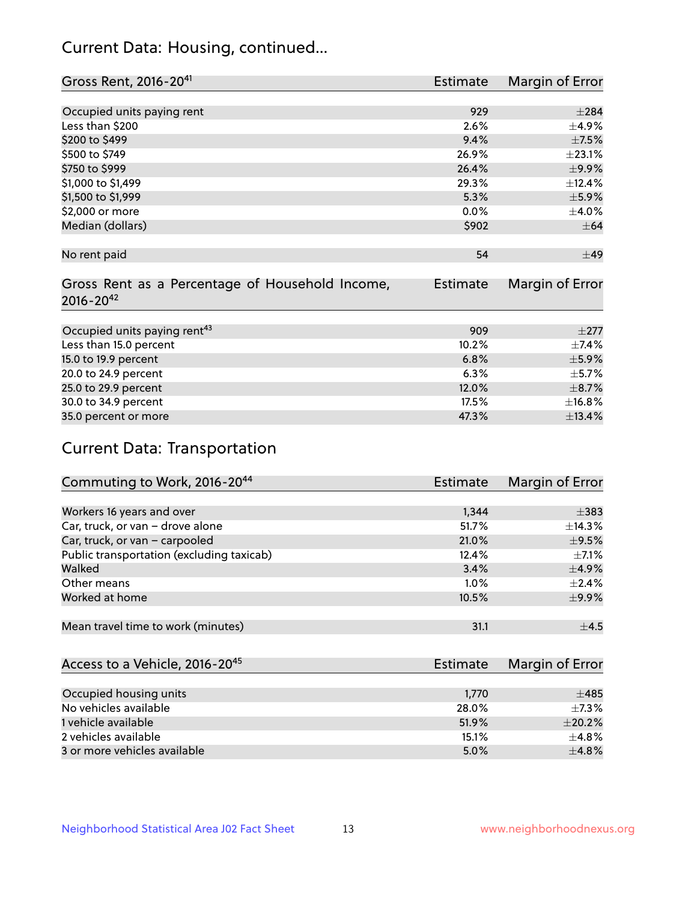## Current Data: Housing, continued...

| Gross Rent, 2016-20 <sup>41</sup>               | <b>Estimate</b> | Margin of Error |
|-------------------------------------------------|-----------------|-----------------|
|                                                 |                 |                 |
| Occupied units paying rent                      | 929             | $\pm 284$       |
| Less than \$200                                 | 2.6%            | $\pm$ 4.9%      |
| \$200 to \$499                                  | 9.4%            | $\pm$ 7.5%      |
| \$500 to \$749                                  | 26.9%           | ±23.1%          |
| \$750 to \$999                                  | 26.4%           | $\pm$ 9.9%      |
| \$1,000 to \$1,499                              | 29.3%           | ±12.4%          |
| \$1,500 to \$1,999                              | 5.3%            | ±5.9%           |
| \$2,000 or more                                 | 0.0%            | $\pm$ 4.0%      |
| Median (dollars)                                | \$902           | $\pm$ 64        |
|                                                 |                 |                 |
| No rent paid                                    | 54              | ±49             |
|                                                 |                 |                 |
| Gross Rent as a Percentage of Household Income, | <b>Estimate</b> | Margin of Error |
| $2016 - 20^{42}$                                |                 |                 |
|                                                 |                 |                 |
| Occupied units paying rent <sup>43</sup>        | 909             | $\pm 277$       |
| Less than 15.0 percent                          | 10.2%           | ±7.4%           |
| 15.0 to 19.9 percent                            | 6.8%            | $\pm$ 5.9%      |
| 20.0 to 24.9 percent                            | 6.3%            | $\pm$ 5.7%      |
| 25.0 to 29.9 percent                            | 12.0%           | $\pm$ 8.7%      |
| 30.0 to 34.9 percent                            | 17.5%           | ±16.8%          |
| 35.0 percent or more                            | 47.3%           | ±13.4%          |

# Current Data: Transportation

| Commuting to Work, 2016-20 <sup>44</sup>  | <b>Estimate</b> | Margin of Error |
|-------------------------------------------|-----------------|-----------------|
|                                           |                 |                 |
| Workers 16 years and over                 | 1,344           | $\pm$ 383       |
| Car, truck, or van - drove alone          | 51.7%           | ±14.3%          |
| Car, truck, or van - carpooled            | 21.0%           | $\pm$ 9.5%      |
| Public transportation (excluding taxicab) | 12.4%           | $+7.1%$         |
| Walked                                    | 3.4%            | $\pm$ 4.9%      |
| Other means                               | $1.0\%$         | $\pm 2.4\%$     |
| Worked at home                            | 10.5%           | $\pm$ 9.9%      |
|                                           |                 |                 |
| Mean travel time to work (minutes)        | 31.1            | $\pm$ 4.5       |

| Access to a Vehicle, 2016-20 <sup>45</sup> | Estimate | Margin of Error |
|--------------------------------------------|----------|-----------------|
|                                            |          |                 |
| Occupied housing units                     | 1,770    | $\pm 485$       |
| No vehicles available                      | 28.0%    | $+7.3%$         |
| 1 vehicle available                        | 51.9%    | $\pm 20.2\%$    |
| 2 vehicles available                       | 15.1%    | $+4.8%$         |
| 3 or more vehicles available               | 5.0%     | $+4.8%$         |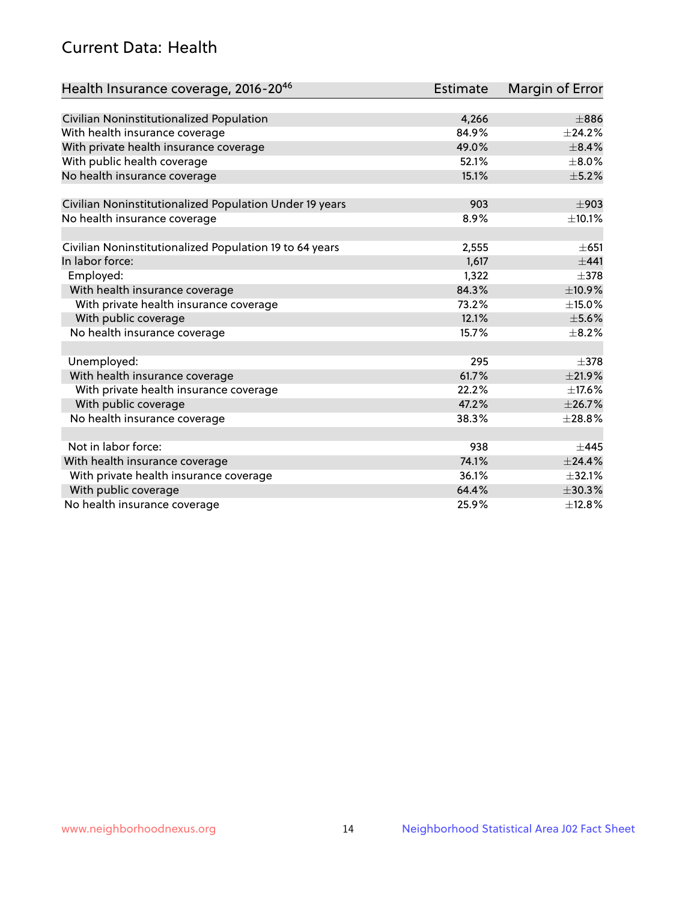## Current Data: Health

| Health Insurance coverage, 2016-2046                    | <b>Estimate</b> | Margin of Error |
|---------------------------------------------------------|-----------------|-----------------|
|                                                         |                 |                 |
| Civilian Noninstitutionalized Population                | 4,266           | $\pm886$        |
| With health insurance coverage                          | 84.9%           | $\pm$ 24.2%     |
| With private health insurance coverage                  | 49.0%           | $\pm$ 8.4%      |
| With public health coverage                             | 52.1%           | $\pm$ 8.0%      |
| No health insurance coverage                            | 15.1%           | $\pm$ 5.2%      |
| Civilian Noninstitutionalized Population Under 19 years | 903             | $\pm$ 903       |
| No health insurance coverage                            | 8.9%            | ±10.1%          |
|                                                         |                 |                 |
| Civilian Noninstitutionalized Population 19 to 64 years | 2,555           | $\pm 651$       |
| In labor force:                                         | 1,617           | $+441$          |
| Employed:                                               | 1,322           | $\pm$ 378       |
| With health insurance coverage                          | 84.3%           | ±10.9%          |
| With private health insurance coverage                  | 73.2%           | ±15.0%          |
| With public coverage                                    | 12.1%           | $\pm$ 5.6%      |
| No health insurance coverage                            | 15.7%           | $\pm$ 8.2%      |
|                                                         |                 |                 |
| Unemployed:                                             | 295             | $\pm$ 378       |
| With health insurance coverage                          | 61.7%           | ±21.9%          |
| With private health insurance coverage                  | 22.2%           | $\pm$ 17.6%     |
| With public coverage                                    | 47.2%           | ±26.7%          |
| No health insurance coverage                            | 38.3%           | $\pm 28.8\%$    |
|                                                         |                 |                 |
| Not in labor force:                                     | 938             | ±445            |
| With health insurance coverage                          | 74.1%           | ±24.4%          |
| With private health insurance coverage                  | 36.1%           | ±32.1%          |
| With public coverage                                    | 64.4%           | $\pm 30.3\%$    |
| No health insurance coverage                            | 25.9%           | ±12.8%          |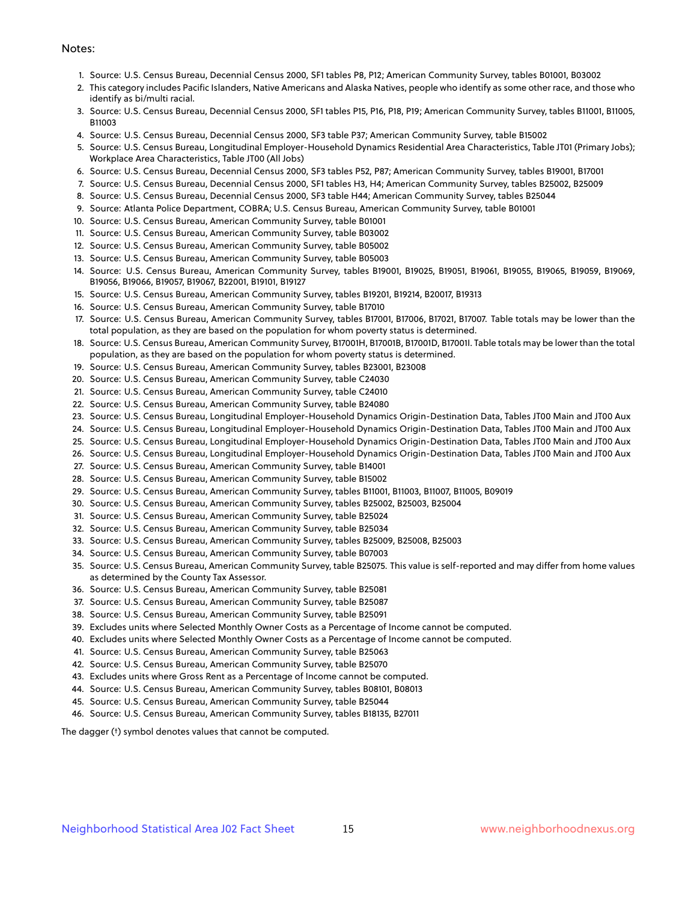#### Notes:

- 1. Source: U.S. Census Bureau, Decennial Census 2000, SF1 tables P8, P12; American Community Survey, tables B01001, B03002
- 2. This category includes Pacific Islanders, Native Americans and Alaska Natives, people who identify as some other race, and those who identify as bi/multi racial.
- 3. Source: U.S. Census Bureau, Decennial Census 2000, SF1 tables P15, P16, P18, P19; American Community Survey, tables B11001, B11005, B11003
- 4. Source: U.S. Census Bureau, Decennial Census 2000, SF3 table P37; American Community Survey, table B15002
- 5. Source: U.S. Census Bureau, Longitudinal Employer-Household Dynamics Residential Area Characteristics, Table JT01 (Primary Jobs); Workplace Area Characteristics, Table JT00 (All Jobs)
- 6. Source: U.S. Census Bureau, Decennial Census 2000, SF3 tables P52, P87; American Community Survey, tables B19001, B17001
- 7. Source: U.S. Census Bureau, Decennial Census 2000, SF1 tables H3, H4; American Community Survey, tables B25002, B25009
- 8. Source: U.S. Census Bureau, Decennial Census 2000, SF3 table H44; American Community Survey, tables B25044
- 9. Source: Atlanta Police Department, COBRA; U.S. Census Bureau, American Community Survey, table B01001
- 10. Source: U.S. Census Bureau, American Community Survey, table B01001
- 11. Source: U.S. Census Bureau, American Community Survey, table B03002
- 12. Source: U.S. Census Bureau, American Community Survey, table B05002
- 13. Source: U.S. Census Bureau, American Community Survey, table B05003
- 14. Source: U.S. Census Bureau, American Community Survey, tables B19001, B19025, B19051, B19061, B19055, B19065, B19059, B19069, B19056, B19066, B19057, B19067, B22001, B19101, B19127
- 15. Source: U.S. Census Bureau, American Community Survey, tables B19201, B19214, B20017, B19313
- 16. Source: U.S. Census Bureau, American Community Survey, table B17010
- 17. Source: U.S. Census Bureau, American Community Survey, tables B17001, B17006, B17021, B17007. Table totals may be lower than the total population, as they are based on the population for whom poverty status is determined.
- 18. Source: U.S. Census Bureau, American Community Survey, B17001H, B17001B, B17001D, B17001I. Table totals may be lower than the total population, as they are based on the population for whom poverty status is determined.
- 19. Source: U.S. Census Bureau, American Community Survey, tables B23001, B23008
- 20. Source: U.S. Census Bureau, American Community Survey, table C24030
- 21. Source: U.S. Census Bureau, American Community Survey, table C24010
- 22. Source: U.S. Census Bureau, American Community Survey, table B24080
- 23. Source: U.S. Census Bureau, Longitudinal Employer-Household Dynamics Origin-Destination Data, Tables JT00 Main and JT00 Aux
- 24. Source: U.S. Census Bureau, Longitudinal Employer-Household Dynamics Origin-Destination Data, Tables JT00 Main and JT00 Aux
- 25. Source: U.S. Census Bureau, Longitudinal Employer-Household Dynamics Origin-Destination Data, Tables JT00 Main and JT00 Aux
- 26. Source: U.S. Census Bureau, Longitudinal Employer-Household Dynamics Origin-Destination Data, Tables JT00 Main and JT00 Aux
- 27. Source: U.S. Census Bureau, American Community Survey, table B14001
- 28. Source: U.S. Census Bureau, American Community Survey, table B15002
- 29. Source: U.S. Census Bureau, American Community Survey, tables B11001, B11003, B11007, B11005, B09019
- 30. Source: U.S. Census Bureau, American Community Survey, tables B25002, B25003, B25004
- 31. Source: U.S. Census Bureau, American Community Survey, table B25024
- 32. Source: U.S. Census Bureau, American Community Survey, table B25034
- 33. Source: U.S. Census Bureau, American Community Survey, tables B25009, B25008, B25003
- 34. Source: U.S. Census Bureau, American Community Survey, table B07003
- 35. Source: U.S. Census Bureau, American Community Survey, table B25075. This value is self-reported and may differ from home values as determined by the County Tax Assessor.
- 36. Source: U.S. Census Bureau, American Community Survey, table B25081
- 37. Source: U.S. Census Bureau, American Community Survey, table B25087
- 38. Source: U.S. Census Bureau, American Community Survey, table B25091
- 39. Excludes units where Selected Monthly Owner Costs as a Percentage of Income cannot be computed.
- 40. Excludes units where Selected Monthly Owner Costs as a Percentage of Income cannot be computed.
- 41. Source: U.S. Census Bureau, American Community Survey, table B25063
- 42. Source: U.S. Census Bureau, American Community Survey, table B25070
- 43. Excludes units where Gross Rent as a Percentage of Income cannot be computed.
- 44. Source: U.S. Census Bureau, American Community Survey, tables B08101, B08013
- 45. Source: U.S. Census Bureau, American Community Survey, table B25044
- 46. Source: U.S. Census Bureau, American Community Survey, tables B18135, B27011

The dagger (†) symbol denotes values that cannot be computed.